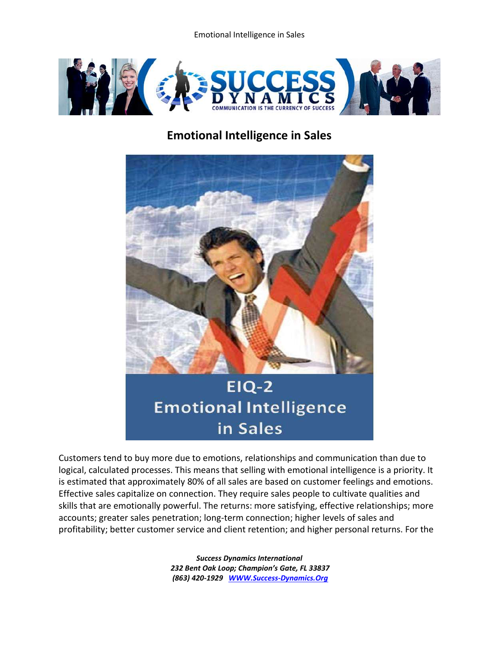Emotional Intelligence in Sales



## **Emotional Intelligence in Sales**



## **EIQ-2 Emotional Intelligence** in Sales

Customers tend to buy more due to emotions, relationships and communication than due to logical, calculated processes. This means that selling with emotional intelligence is a priority. It is estimated that approximately 80% of all sales are based on customer feelings and emotions. Effective sales capitalize on connection. They require sales people to cultivate qualities and skills that are emotionally powerful. The returns: more satisfying, effective relationships; more accounts; greater sales penetration; long-term connection; higher levels of sales and profitability; better customer service and client retention; and higher personal returns. For the

> *Success Dynamics International 232 Bent Oak Loop; Champion's Gate, FL 33837 (863) 420-1929 [WWW.Success-Dynamics.Org](http://www.success-dynamics.org/)*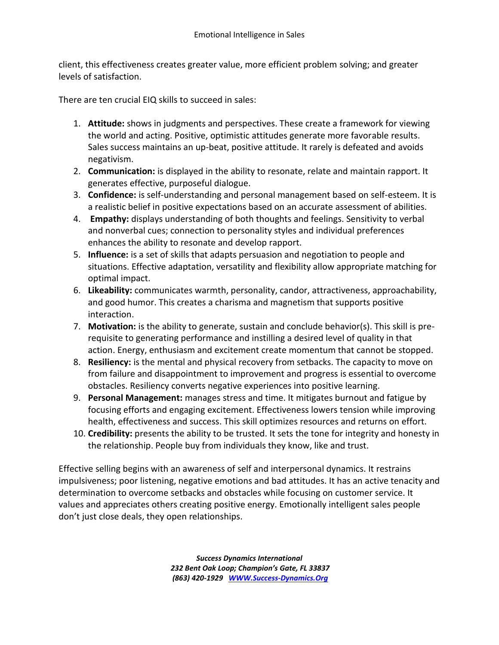client, this effectiveness creates greater value, more efficient problem solving; and greater levels of satisfaction.

There are ten crucial EIQ skills to succeed in sales:

- 1. **Attitude:** shows in judgments and perspectives. These create a framework for viewing the world and acting. Positive, optimistic attitudes generate more favorable results. Sales success maintains an up-beat, positive attitude. It rarely is defeated and avoids negativism.
- 2. **Communication:** is displayed in the ability to resonate, relate and maintain rapport. It generates effective, purposeful dialogue.
- 3. **Confidence:** is self-understanding and personal management based on self-esteem. It is a realistic belief in positive expectations based on an accurate assessment of abilities.
- 4. **Empathy:** displays understanding of both thoughts and feelings. Sensitivity to verbal and nonverbal cues; connection to personality styles and individual preferences enhances the ability to resonate and develop rapport.
- 5. **Influence:** is a set of skills that adapts persuasion and negotiation to people and situations. Effective adaptation, versatility and flexibility allow appropriate matching for optimal impact.
- 6. **Likeability:** communicates warmth, personality, candor, attractiveness, approachability, and good humor. This creates a charisma and magnetism that supports positive interaction.
- 7. **Motivation:** is the ability to generate, sustain and conclude behavior(s). This skill is prerequisite to generating performance and instilling a desired level of quality in that action. Energy, enthusiasm and excitement create momentum that cannot be stopped.
- 8. **Resiliency:** is the mental and physical recovery from setbacks. The capacity to move on from failure and disappointment to improvement and progress is essential to overcome obstacles. Resiliency converts negative experiences into positive learning.
- 9. **Personal Management:** manages stress and time. It mitigates burnout and fatigue by focusing efforts and engaging excitement. Effectiveness lowers tension while improving health, effectiveness and success. This skill optimizes resources and returns on effort.
- 10. **Credibility:** presents the ability to be trusted. It sets the tone for integrity and honesty in the relationship. People buy from individuals they know, like and trust.

Effective selling begins with an awareness of self and interpersonal dynamics. It restrains impulsiveness; poor listening, negative emotions and bad attitudes. It has an active tenacity and determination to overcome setbacks and obstacles while focusing on customer service. It values and appreciates others creating positive energy. Emotionally intelligent sales people don't just close deals, they open relationships.

> *Success Dynamics International 232 Bent Oak Loop; Champion's Gate, FL 33837 (863) 420-1929 [WWW.Success-Dynamics.Org](http://www.success-dynamics.org/)*